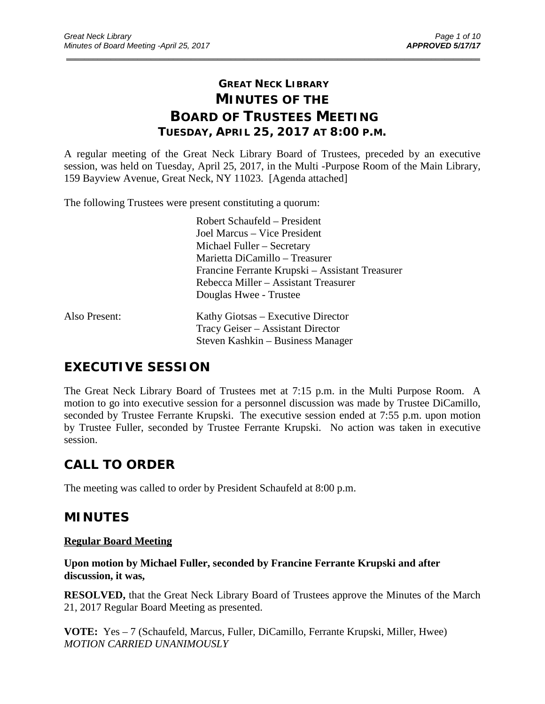# **GREAT NECK LIBRARY MINUTES OF THE BOARD OF TRUSTEES MEETING TUESDAY, APRIL 25, 2017 AT 8:00 P.M.**

\_\_\_\_\_\_\_\_\_\_\_\_\_\_\_\_\_\_\_\_\_\_\_\_\_\_\_\_\_\_\_\_\_\_\_\_\_\_\_\_\_\_\_\_\_\_\_\_\_\_\_\_\_\_\_\_\_\_\_\_\_\_\_\_\_\_\_\_\_\_\_\_\_\_\_\_\_\_\_\_\_\_\_\_\_\_\_\_\_\_\_\_\_

A regular meeting of the Great Neck Library Board of Trustees, preceded by an executive session, was held on Tuesday, April 25, 2017, in the Multi -Purpose Room of the Main Library, 159 Bayview Avenue, Great Neck, NY 11023. [Agenda attached]

The following Trustees were present constituting a quorum:

|               | Robert Schaufeld - President                    |
|---------------|-------------------------------------------------|
|               | Joel Marcus – Vice President                    |
|               | Michael Fuller – Secretary                      |
|               | Marietta DiCamillo – Treasurer                  |
|               | Francine Ferrante Krupski – Assistant Treasurer |
|               | Rebecca Miller – Assistant Treasurer            |
|               | Douglas Hwee - Trustee                          |
| Also Present: | Kathy Giotsas – Executive Director              |
|               | Tracy Geiser – Assistant Director               |
|               | Steven Kashkin – Business Manager               |

# **EXECUTIVE SESSION**

The Great Neck Library Board of Trustees met at 7:15 p.m. in the Multi Purpose Room. A motion to go into executive session for a personnel discussion was made by Trustee DiCamillo, seconded by Trustee Ferrante Krupski. The executive session ended at 7:55 p.m. upon motion by Trustee Fuller, seconded by Trustee Ferrante Krupski. No action was taken in executive session.

# **CALL TO ORDER**

The meeting was called to order by President Schaufeld at 8:00 p.m.

# **MINUTES**

## **Regular Board Meeting**

**Upon motion by Michael Fuller, seconded by Francine Ferrante Krupski and after discussion, it was,**

**RESOLVED,** that the Great Neck Library Board of Trustees approve the Minutes of the March 21, 2017 Regular Board Meeting as presented.

**VOTE:** Yes – 7 (Schaufeld, Marcus, Fuller, DiCamillo, Ferrante Krupski, Miller, Hwee) *MOTION CARRIED UNANIMOUSLY*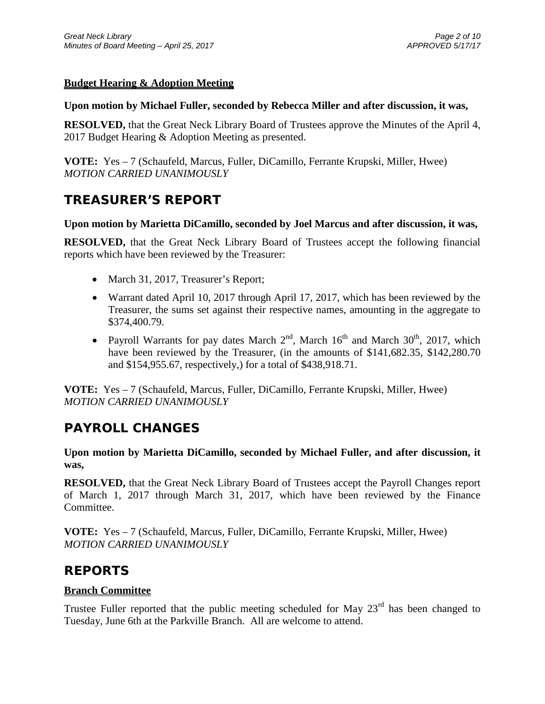## **Budget Hearing & Adoption Meeting**

## **Upon motion by Michael Fuller, seconded by Rebecca Miller and after discussion, it was,**

**RESOLVED,** that the Great Neck Library Board of Trustees approve the Minutes of the April 4, 2017 Budget Hearing & Adoption Meeting as presented.

**VOTE:** Yes – 7 (Schaufeld, Marcus, Fuller, DiCamillo, Ferrante Krupski, Miller, Hwee) *MOTION CARRIED UNANIMOUSLY*

# **TREASURER'S REPORT**

## **Upon motion by Marietta DiCamillo, seconded by Joel Marcus and after discussion, it was,**

**RESOLVED,** that the Great Neck Library Board of Trustees accept the following financial reports which have been reviewed by the Treasurer:

- March 31, 2017, Treasurer's Report;
- Warrant dated April 10, 2017 through April 17, 2017, which has been reviewed by the Treasurer, the sums set against their respective names, amounting in the aggregate to \$374,400.79.
- Payroll Warrants for pay dates March  $2<sup>nd</sup>$ , March  $16<sup>th</sup>$  and March  $30<sup>th</sup>$ , 2017, which have been reviewed by the Treasurer, (in the amounts of \$141,682.35, \$142,280.70 and \$154,955.67, respectively,) for a total of \$438,918.71.

**VOTE:** Yes – 7 (Schaufeld, Marcus, Fuller, DiCamillo, Ferrante Krupski, Miller, Hwee) *MOTION CARRIED UNANIMOUSLY*

# **PAYROLL CHANGES**

**Upon motion by Marietta DiCamillo, seconded by Michael Fuller, and after discussion, it was,**

**RESOLVED,** that the Great Neck Library Board of Trustees accept the Payroll Changes report of March 1, 2017 through March 31, 2017, which have been reviewed by the Finance Committee.

**VOTE:** Yes – 7 (Schaufeld, Marcus, Fuller, DiCamillo, Ferrante Krupski, Miller, Hwee) *MOTION CARRIED UNANIMOUSLY*

# **REPORTS**

## **Branch Committee**

Trustee Fuller reported that the public meeting scheduled for May  $23<sup>rd</sup>$  has been changed to Tuesday, June 6th at the Parkville Branch. All are welcome to attend.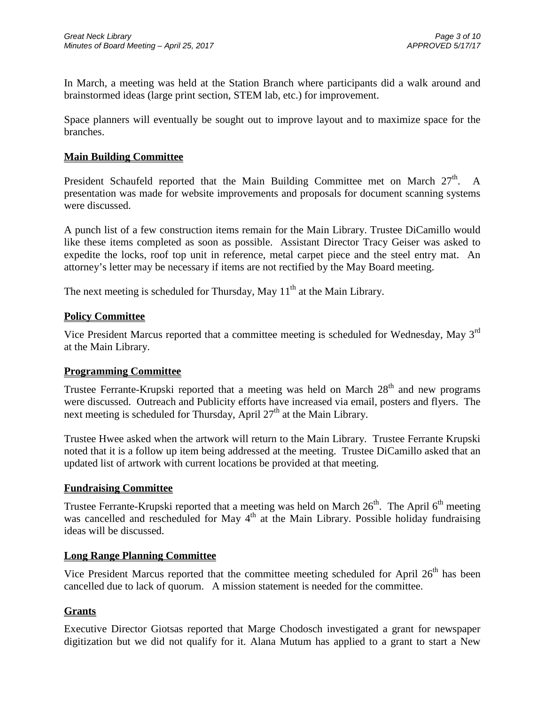In March, a meeting was held at the Station Branch where participants did a walk around and brainstormed ideas (large print section, STEM lab, etc.) for improvement.

Space planners will eventually be sought out to improve layout and to maximize space for the branches.

## **Main Building Committee**

President Schaufeld reported that the Main Building Committee met on March  $27<sup>th</sup>$ . A presentation was made for website improvements and proposals for document scanning systems were discussed.

A punch list of a few construction items remain for the Main Library. Trustee DiCamillo would like these items completed as soon as possible. Assistant Director Tracy Geiser was asked to expedite the locks, roof top unit in reference, metal carpet piece and the steel entry mat. An attorney's letter may be necessary if items are not rectified by the May Board meeting.

The next meeting is scheduled for Thursday, May  $11<sup>th</sup>$  at the Main Library.

## **Policy Committee**

Vice President Marcus reported that a committee meeting is scheduled for Wednesday, May 3rd at the Main Library.

## **Programming Committee**

Trustee Ferrante-Krupski reported that a meeting was held on March  $28<sup>th</sup>$  and new programs were discussed. Outreach and Publicity efforts have increased via email, posters and flyers. The next meeting is scheduled for Thursday, April  $27<sup>th</sup>$  at the Main Library.

Trustee Hwee asked when the artwork will return to the Main Library. Trustee Ferrante Krupski noted that it is a follow up item being addressed at the meeting. Trustee DiCamillo asked that an updated list of artwork with current locations be provided at that meeting.

## **Fundraising Committee**

Trustee Ferrante-Krupski reported that a meeting was held on March  $26<sup>th</sup>$ . The April  $6<sup>th</sup>$  meeting was cancelled and rescheduled for May  $4<sup>th</sup>$  at the Main Library. Possible holiday fundraising ideas will be discussed.

## **Long Range Planning Committee**

Vice President Marcus reported that the committee meeting scheduled for April  $26<sup>th</sup>$  has been cancelled due to lack of quorum. A mission statement is needed for the committee.

## **Grants**

Executive Director Giotsas reported that Marge Chodosch investigated a grant for newspaper digitization but we did not qualify for it. Alana Mutum has applied to a grant to start a New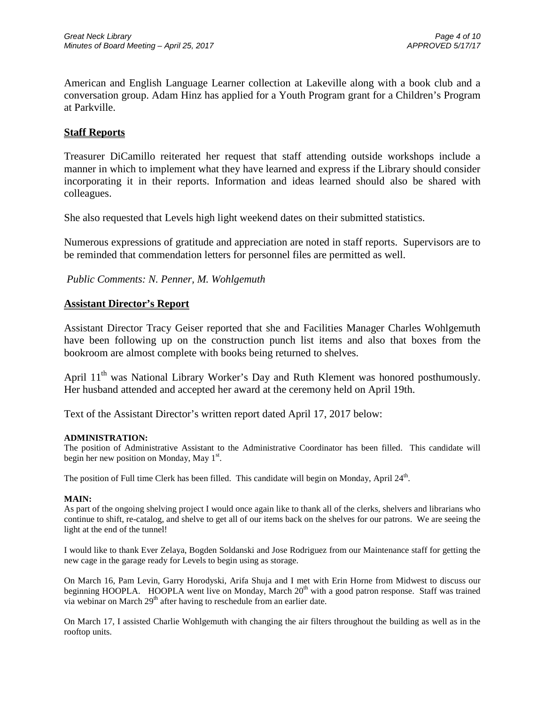American and English Language Learner collection at Lakeville along with a book club and a conversation group. Adam Hinz has applied for a Youth Program grant for a Children's Program at Parkville.

## **Staff Reports**

Treasurer DiCamillo reiterated her request that staff attending outside workshops include a manner in which to implement what they have learned and express if the Library should consider incorporating it in their reports. Information and ideas learned should also be shared with colleagues.

She also requested that Levels high light weekend dates on their submitted statistics.

Numerous expressions of gratitude and appreciation are noted in staff reports. Supervisors are to be reminded that commendation letters for personnel files are permitted as well.

*Public Comments: N. Penner, M. Wohlgemuth*

### **Assistant Director's Report**

Assistant Director Tracy Geiser reported that she and Facilities Manager Charles Wohlgemuth have been following up on the construction punch list items and also that boxes from the bookroom are almost complete with books being returned to shelves.

April 11<sup>th</sup> was National Library Worker's Day and Ruth Klement was honored posthumously. Her husband attended and accepted her award at the ceremony held on April 19th.

Text of the Assistant Director's written report dated April 17, 2017 below:

#### **ADMINISTRATION:**

The position of Administrative Assistant to the Administrative Coordinator has been filled. This candidate will begin her new position on Monday, May  $1<sup>st</sup>$ .

The position of Full time Clerk has been filled. This candidate will begin on Monday, April 24<sup>th</sup>.

#### **MAIN:**

As part of the ongoing shelving project I would once again like to thank all of the clerks, shelvers and librarians who continue to shift, re-catalog, and shelve to get all of our items back on the shelves for our patrons. We are seeing the light at the end of the tunnel!

I would like to thank Ever Zelaya, Bogden Soldanski and Jose Rodriguez from our Maintenance staff for getting the new cage in the garage ready for Levels to begin using as storage.

On March 16, Pam Levin, Garry Horodyski, Arifa Shuja and I met with Erin Horne from Midwest to discuss our beginning HOOPLA. HOOPLA went live on Monday, March  $20<sup>th</sup>$  with a good patron response. Staff was trained via webinar on March 29<sup>th</sup> after having to reschedule from an earlier date.

On March 17, I assisted Charlie Wohlgemuth with changing the air filters throughout the building as well as in the rooftop units.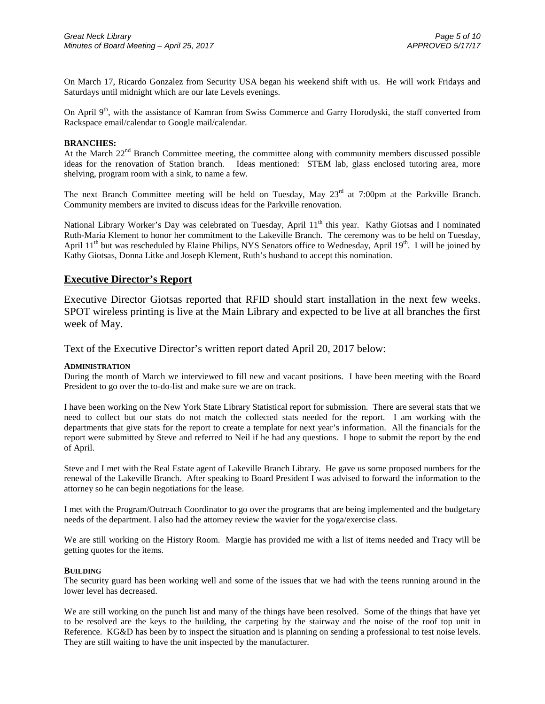On March 17, Ricardo Gonzalez from Security USA began his weekend shift with us. He will work Fridays and Saturdays until midnight which are our late Levels evenings.

On April  $9<sup>th</sup>$ , with the assistance of Kamran from Swiss Commerce and Garry Horodyski, the staff converted from Rackspace email/calendar to Google mail/calendar.

#### **BRANCHES:**

At the March  $22<sup>nd</sup>$  Branch Committee meeting, the committee along with community members discussed possible ideas for the renovation of Station branch. Ideas mentioned: STEM lab, glass enclosed tutoring area, more shelving, program room with a sink, to name a few.

The next Branch Committee meeting will be held on Tuesday, May  $23<sup>rd</sup>$  at 7:00pm at the Parkville Branch. Community members are invited to discuss ideas for the Parkville renovation.

National Library Worker's Day was celebrated on Tuesday, April 11<sup>th</sup> this year. Kathy Giotsas and I nominated Ruth-Maria Klement to honor her commitment to the Lakeville Branch. The ceremony was to be held on Tuesday, April  $11<sup>th</sup>$  but was rescheduled by Elaine Philips, NYS Senators office to Wednesday, April  $19<sup>th</sup>$ . I will be joined by Kathy Giotsas, Donna Litke and Joseph Klement, Ruth's husband to accept this nomination.

#### **Executive Director's Report**

Executive Director Giotsas reported that RFID should start installation in the next few weeks. SPOT wireless printing is live at the Main Library and expected to be live at all branches the first week of May.

Text of the Executive Director's written report dated April 20, 2017 below:

#### **ADMINISTRATION**

During the month of March we interviewed to fill new and vacant positions. I have been meeting with the Board President to go over the to-do-list and make sure we are on track.

I have been working on the New York State Library Statistical report for submission. There are several stats that we need to collect but our stats do not match the collected stats needed for the report. I am working with the departments that give stats for the report to create a template for next year's information. All the financials for the report were submitted by Steve and referred to Neil if he had any questions. I hope to submit the report by the end of April.

Steve and I met with the Real Estate agent of Lakeville Branch Library. He gave us some proposed numbers for the renewal of the Lakeville Branch. After speaking to Board President I was advised to forward the information to the attorney so he can begin negotiations for the lease.

I met with the Program/Outreach Coordinator to go over the programs that are being implemented and the budgetary needs of the department. I also had the attorney review the wavier for the yoga/exercise class.

We are still working on the History Room. Margie has provided me with a list of items needed and Tracy will be getting quotes for the items.

#### **BUILDING**

The security guard has been working well and some of the issues that we had with the teens running around in the lower level has decreased.

We are still working on the punch list and many of the things have been resolved. Some of the things that have yet to be resolved are the keys to the building, the carpeting by the stairway and the noise of the roof top unit in Reference. KG&D has been by to inspect the situation and is planning on sending a professional to test noise levels. They are still waiting to have the unit inspected by the manufacturer.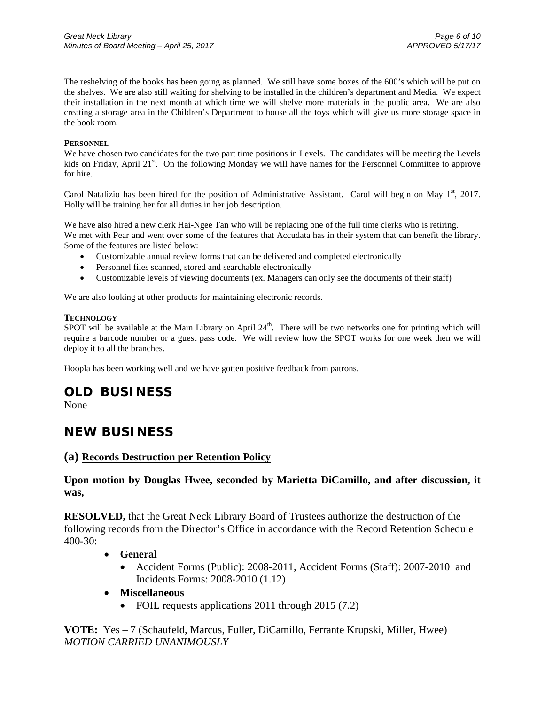The reshelving of the books has been going as planned. We still have some boxes of the 600's which will be put on the shelves. We are also still waiting for shelving to be installed in the children's department and Media. We expect their installation in the next month at which time we will shelve more materials in the public area. We are also creating a storage area in the Children's Department to house all the toys which will give us more storage space in the book room.

#### **PERSONNEL**

We have chosen two candidates for the two part time positions in Levels. The candidates will be meeting the Levels kids on Friday, April 21<sup>st</sup>. On the following Monday we will have names for the Personnel Committee to approve for hire.

Carol Natalizio has been hired for the position of Administrative Assistant. Carol will begin on May  $1<sup>st</sup>$ , 2017. Holly will be training her for all duties in her job description.

We have also hired a new clerk Hai-Ngee Tan who will be replacing one of the full time clerks who is retiring. We met with Pear and went over some of the features that Accudata has in their system that can benefit the library. Some of the features are listed below:

- Customizable annual review forms that can be delivered and completed electronically
- Personnel files scanned, stored and searchable electronically
- Customizable levels of viewing documents (ex. Managers can only see the documents of their staff)

We are also looking at other products for maintaining electronic records.

#### **TECHNOLOGY**

SPOT will be available at the Main Library on April 24<sup>th</sup>. There will be two networks one for printing which will require a barcode number or a guest pass code. We will review how the SPOT works for one week then we will deploy it to all the branches.

Hoopla has been working well and we have gotten positive feedback from patrons.

## **OLD BUSINESS**

None

## **NEW BUSINESS**

#### **(a) Records Destruction per Retention Policy**

## **Upon motion by Douglas Hwee, seconded by Marietta DiCamillo, and after discussion, it was,**

**RESOLVED,** that the Great Neck Library Board of Trustees authorize the destruction of the following records from the Director's Office in accordance with the Record Retention Schedule 400-30:

- **General**
	- Accident Forms (Public): 2008-2011, Accident Forms (Staff): 2007-2010 and Incidents Forms: 2008-2010 (1.12)
- **Miscellaneous**
	- FOIL requests applications 2011 through 2015 (7.2)

**VOTE:** Yes – 7 (Schaufeld, Marcus, Fuller, DiCamillo, Ferrante Krupski, Miller, Hwee) *MOTION CARRIED UNANIMOUSLY*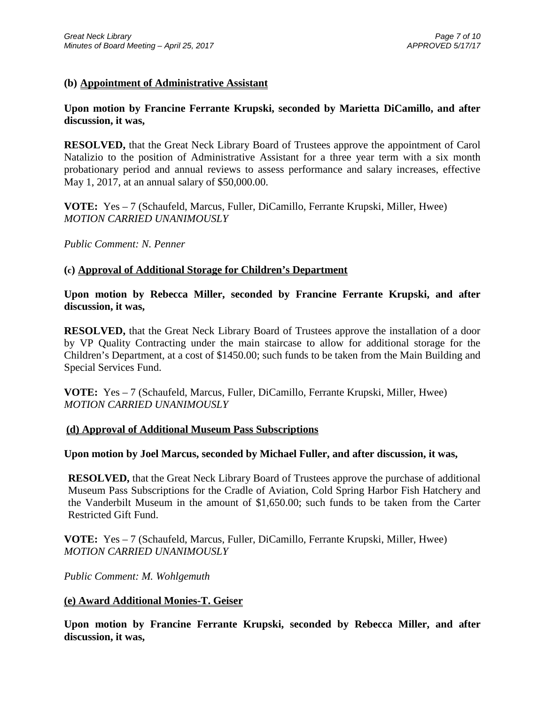## **(b) Appointment of Administrative Assistant**

## **Upon motion by Francine Ferrante Krupski, seconded by Marietta DiCamillo, and after discussion, it was,**

**RESOLVED,** that the Great Neck Library Board of Trustees approve the appointment of Carol Natalizio to the position of Administrative Assistant for a three year term with a six month probationary period and annual reviews to assess performance and salary increases, effective May 1, 2017, at an annual salary of \$50,000.00.

**VOTE:** Yes – 7 (Schaufeld, Marcus, Fuller, DiCamillo, Ferrante Krupski, Miller, Hwee) *MOTION CARRIED UNANIMOUSLY*

*Public Comment: N. Penner*

### **(c) Approval of Additional Storage for Children's Department**

**Upon motion by Rebecca Miller, seconded by Francine Ferrante Krupski, and after discussion, it was,**

**RESOLVED,** that the Great Neck Library Board of Trustees approve the installation of a door by VP Quality Contracting under the main staircase to allow for additional storage for the Children's Department, at a cost of \$1450.00; such funds to be taken from the Main Building and Special Services Fund.

**VOTE:** Yes – 7 (Schaufeld, Marcus, Fuller, DiCamillo, Ferrante Krupski, Miller, Hwee) *MOTION CARRIED UNANIMOUSLY*

### **(d) Approval of Additional Museum Pass Subscriptions**

## **Upon motion by Joel Marcus, seconded by Michael Fuller, and after discussion, it was,**

**RESOLVED,** that the Great Neck Library Board of Trustees approve the purchase of additional Museum Pass Subscriptions for the Cradle of Aviation, Cold Spring Harbor Fish Hatchery and the Vanderbilt Museum in the amount of \$1,650.00; such funds to be taken from the Carter Restricted Gift Fund.

**VOTE:** Yes – 7 (Schaufeld, Marcus, Fuller, DiCamillo, Ferrante Krupski, Miller, Hwee) *MOTION CARRIED UNANIMOUSLY*

*Public Comment: M. Wohlgemuth*

#### **(e) Award Additional Monies-T. Geiser**

**Upon motion by Francine Ferrante Krupski, seconded by Rebecca Miller, and after discussion, it was,**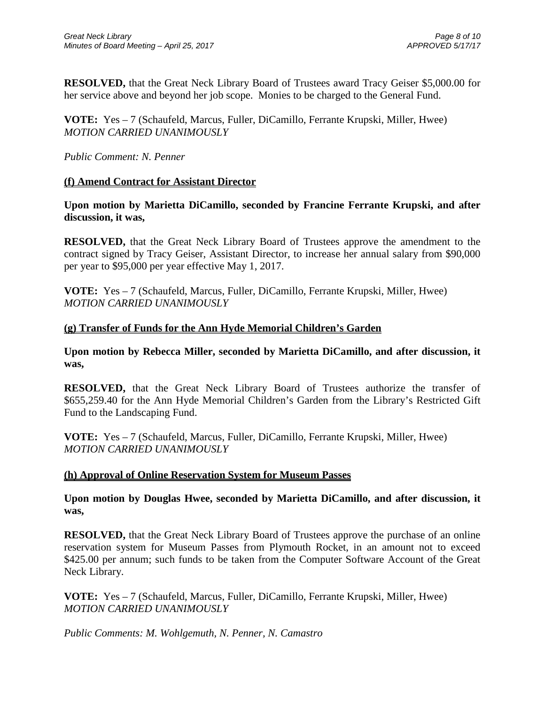**RESOLVED,** that the Great Neck Library Board of Trustees award Tracy Geiser \$5,000.00 for her service above and beyond her job scope. Monies to be charged to the General Fund.

**VOTE:** Yes – 7 (Schaufeld, Marcus, Fuller, DiCamillo, Ferrante Krupski, Miller, Hwee) *MOTION CARRIED UNANIMOUSLY*

*Public Comment: N. Penner*

## **(f) Amend Contract for Assistant Director**

**Upon motion by Marietta DiCamillo, seconded by Francine Ferrante Krupski, and after discussion, it was,**

**RESOLVED,** that the Great Neck Library Board of Trustees approve the amendment to the contract signed by Tracy Geiser, Assistant Director, to increase her annual salary from \$90,000 per year to \$95,000 per year effective May 1, 2017.

**VOTE:** Yes – 7 (Schaufeld, Marcus, Fuller, DiCamillo, Ferrante Krupski, Miller, Hwee) *MOTION CARRIED UNANIMOUSLY*

## **(g) Transfer of Funds for the Ann Hyde Memorial Children's Garden**

**Upon motion by Rebecca Miller, seconded by Marietta DiCamillo, and after discussion, it was,**

**RESOLVED,** that the Great Neck Library Board of Trustees authorize the transfer of \$655,259.40 for the Ann Hyde Memorial Children's Garden from the Library's Restricted Gift Fund to the Landscaping Fund.

**VOTE:** Yes – 7 (Schaufeld, Marcus, Fuller, DiCamillo, Ferrante Krupski, Miller, Hwee) *MOTION CARRIED UNANIMOUSLY*

## **(h) Approval of Online Reservation System for Museum Passes**

**Upon motion by Douglas Hwee, seconded by Marietta DiCamillo, and after discussion, it was,**

**RESOLVED,** that the Great Neck Library Board of Trustees approve the purchase of an online reservation system for Museum Passes from Plymouth Rocket, in an amount not to exceed \$425.00 per annum; such funds to be taken from the Computer Software Account of the Great Neck Library.

**VOTE:** Yes – 7 (Schaufeld, Marcus, Fuller, DiCamillo, Ferrante Krupski, Miller, Hwee) *MOTION CARRIED UNANIMOUSLY*

*Public Comments: M. Wohlgemuth, N. Penner, N. Camastro*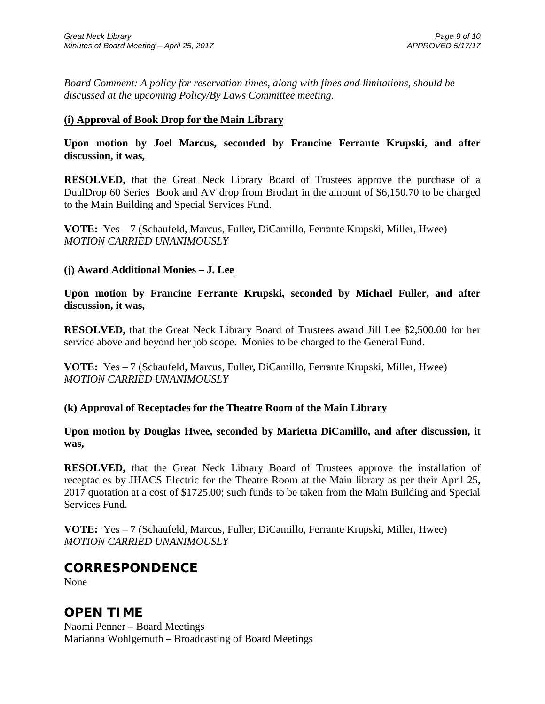*Board Comment: A policy for reservation times, along with fines and limitations, should be discussed at the upcoming Policy/By Laws Committee meeting.*

## **(i) Approval of Book Drop for the Main Library**

**Upon motion by Joel Marcus, seconded by Francine Ferrante Krupski, and after discussion, it was,**

**RESOLVED,** that the Great Neck Library Board of Trustees approve the purchase of a DualDrop 60 Series Book and AV drop from Brodart in the amount of \$6,150.70 to be charged to the Main Building and Special Services Fund.

**VOTE:** Yes – 7 (Schaufeld, Marcus, Fuller, DiCamillo, Ferrante Krupski, Miller, Hwee) *MOTION CARRIED UNANIMOUSLY*

## **(j) Award Additional Monies – J. Lee**

**Upon motion by Francine Ferrante Krupski, seconded by Michael Fuller, and after discussion, it was,**

**RESOLVED,** that the Great Neck Library Board of Trustees award Jill Lee \$2,500.00 for her service above and beyond her job scope. Monies to be charged to the General Fund.

**VOTE:** Yes – 7 (Schaufeld, Marcus, Fuller, DiCamillo, Ferrante Krupski, Miller, Hwee) *MOTION CARRIED UNANIMOUSLY*

## **(k) Approval of Receptacles for the Theatre Room of the Main Library**

**Upon motion by Douglas Hwee, seconded by Marietta DiCamillo, and after discussion, it was,**

**RESOLVED,** that the Great Neck Library Board of Trustees approve the installation of receptacles by JHACS Electric for the Theatre Room at the Main library as per their April 25, 2017 quotation at a cost of \$1725.00; such funds to be taken from the Main Building and Special Services Fund.

**VOTE:** Yes – 7 (Schaufeld, Marcus, Fuller, DiCamillo, Ferrante Krupski, Miller, Hwee) *MOTION CARRIED UNANIMOUSLY*

## **CORRESPONDENCE**

None

# **OPEN TIME**

Naomi Penner – Board Meetings Marianna Wohlgemuth – Broadcasting of Board Meetings